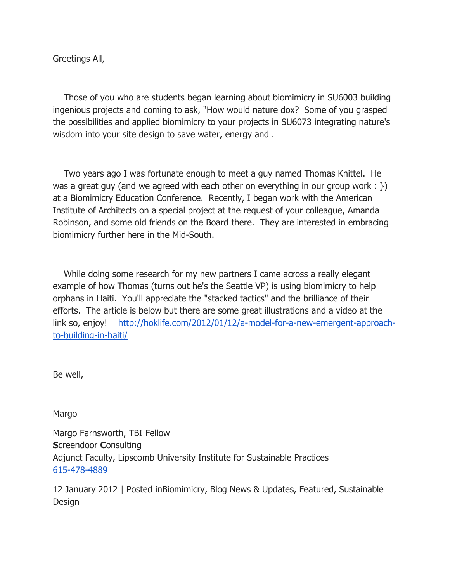Greetings All,

 Those of you who are students began learning about biomimicry in SU6003 building ingenious projects and coming to ask, "How would nature dox? Some of you grasped the possibilities and applied biomimicry to your projects in SU6073 integrating nature's wisdom into your site design to save water, energy and .

 Two years ago I was fortunate enough to meet a guy named Thomas Knittel. He was a great guy (and we agreed with each other on everything in our group work :  $\})$ ) at a Biomimicry Education Conference. Recently, I began work with the American Institute of Architects on a special project at the request of your colleague, Amanda Robinson, and some old friends on the Board there. They are interested in embracing biomimicry further here in the Mid-South.

 While doing some research for my new partners I came across a really elegant example of how Thomas (turns out he's the Seattle VP) is using biomimicry to help orphans in Haiti. You'll appreciate the "stacked tactics" and the brilliance of their efforts. The article is below but there are some great illustrations and a video at the link so, enjoy! http://hoklife.com/2012/01/12/a-model-for-a-new-emergent-approachto-building-in-haiti/

Be well,

Margo

Margo Farnsworth, TBI Fellow Screendoor Consulting Adjunct Faculty, Lipscomb University Institute for Sustainable Practices 615-478-4889

12 January 2012 | Posted inBiomimicry, Blog News & Updates, Featured, Sustainable Design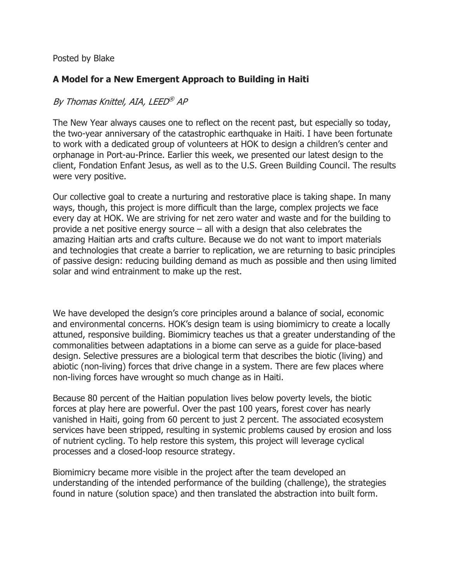Posted by Blake

## A Model for a New Emergent Approach to Building in Haiti

## By Thomas Knittel, AIA, LEED ® AP

The New Year always causes one to reflect on the recent past, but especially so today, the two-year anniversary of the catastrophic earthquake in Haiti. I have been fortunate to work with a dedicated group of volunteers at HOK to design a children's center and orphanage in Port-au-Prince. Earlier this week, we presented our latest design to the client, Fondation Enfant Jesus, as well as to the U.S. Green Building Council. The results were very positive.

Our collective goal to create a nurturing and restorative place is taking shape. In many ways, though, this project is more difficult than the large, complex projects we face every day at HOK. We are striving for net zero water and waste and for the building to provide a net positive energy source – all with a design that also celebrates the amazing Haitian arts and crafts culture. Because we do not want to import materials and technologies that create a barrier to replication, we are returning to basic principles of passive design: reducing building demand as much as possible and then using limited solar and wind entrainment to make up the rest.

We have developed the design's core principles around a balance of social, economic and environmental concerns. HOK's design team is using biomimicry to create a locally attuned, responsive building. Biomimicry teaches us that a greater understanding of the commonalities between adaptations in a biome can serve as a guide for place-based design. Selective pressures are a biological term that describes the biotic (living) and abiotic (non-living) forces that drive change in a system. There are few places where non-living forces have wrought so much change as in Haiti.

Because 80 percent of the Haitian population lives below poverty levels, the biotic forces at play here are powerful. Over the past 100 years, forest cover has nearly vanished in Haiti, going from 60 percent to just 2 percent. The associated ecosystem services have been stripped, resulting in systemic problems caused by erosion and loss of nutrient cycling. To help restore this system, this project will leverage cyclical processes and a closed-loop resource strategy.

Biomimicry became more visible in the project after the team developed an understanding of the intended performance of the building (challenge), the strategies found in nature (solution space) and then translated the abstraction into built form.